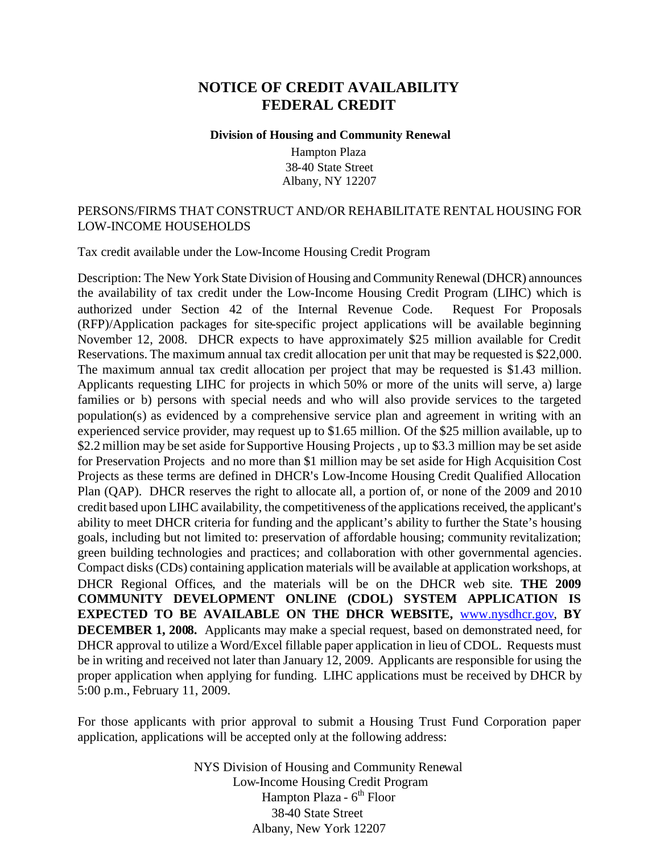# **NOTICE OF CREDIT AVAILABILITY FEDERAL CREDIT**

#### **Division of Housing and Community Renewal**

Hampton Plaza 38-40 State Street Albany, NY 12207

### PERSONS/FIRMS THAT CONSTRUCT AND/OR REHABILITATE RENTAL HOUSING FOR LOW-INCOME HOUSEHOLDS

Tax credit available under the Low-Income Housing Credit Program

Description: The New York State Division of Housing and Community Renewal (DHCR) announces the availability of tax credit under the Low-Income Housing Credit Program (LIHC) which is authorized under Section 42 of the Internal Revenue Code. Request For Proposals (RFP)/Application packages for site-specific project applications will be available beginning November 12, 2008. DHCR expects to have approximately \$25 million available for Credit Reservations. The maximum annual tax credit allocation per unit that may be requested is \$22,000. The maximum annual tax credit allocation per project that may be requested is \$1.43 million. Applicants requesting LIHC for projects in which 50% or more of the units will serve, a) large families or b) persons with special needs and who will also provide services to the targeted population(s) as evidenced by a comprehensive service plan and agreement in writing with an experienced service provider, may request up to \$1.65 million. Of the \$25 million available, up to \$2.2 million may be set aside for Supportive Housing Projects , up to \$3.3 million may be set aside for Preservation Projects and no more than \$1 million may be set aside for High Acquisition Cost Projects as these terms are defined in DHCR's Low-Income Housing Credit Qualified Allocation Plan (QAP). DHCR reserves the right to allocate all, a portion of, or none of the 2009 and 2010 credit based upon LIHC availability, the competitiveness of the applications received, the applicant's ability to meet DHCR criteria for funding and the applicant's ability to further the State's housing goals, including but not limited to: preservation of affordable housing; community revitalization; green building technologies and practices; and collaboration with other governmental agencies. Compact disks (CDs) containing application materials will be available at application workshops, at DHCR Regional Offices, and the materials will be on the DHCR web site. **THE 2009 COMMUNITY DEVELOPMENT ONLINE (CDOL) SYSTEM APPLICATION IS EXPECTED TO BE AVAILABLE ON THE DHCR WEBSITE,** [www.nysdhcr.gov,](www.nysdhcr.gov) **BY DECEMBER 1, 2008.** Applicants may make a special request, based on demonstrated need, for DHCR approval to utilize a Word/Excel fillable paper application in lieu of CDOL. Requests must be in writing and received not later than January 12, 2009. Applicants are responsible for using the proper application when applying for funding. LIHC applications must be received by DHCR by 5:00 p.m., February 11, 2009.

For those applicants with prior approval to submit a Housing Trust Fund Corporation paper application, applications will be accepted only at the following address:

> NYS Division of Housing and Community Renewal Low-Income Housing Credit Program Hampton Plaza - 6<sup>th</sup> Floor 38-40 State Street Albany, New York 12207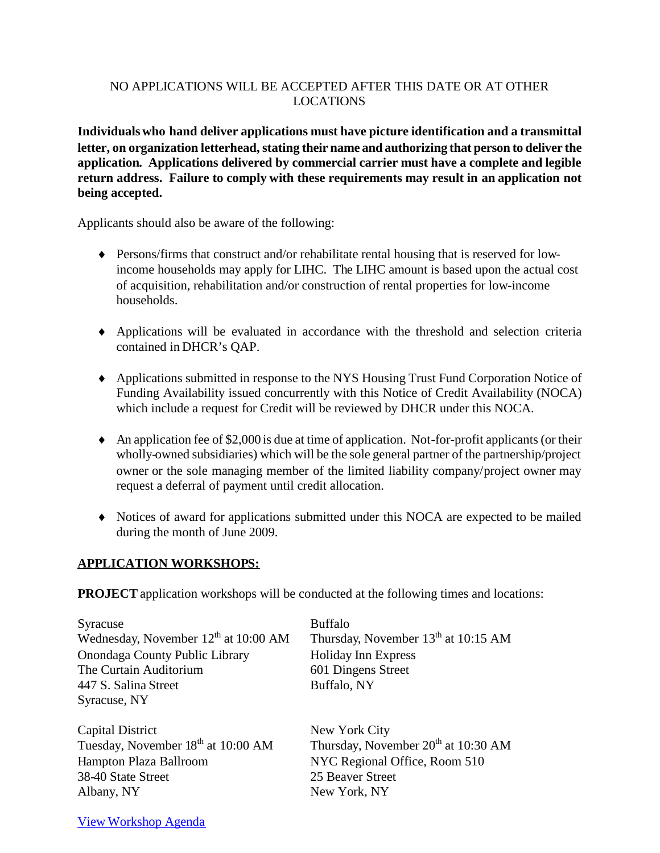## NO APPLICATIONS WILL BE ACCEPTED AFTER THIS DATE OR AT OTHER LOCATIONS

**Individualswho hand deliver applications must have picture identification and a transmittal letter, on organization letterhead, stating their name and authorizing that person to deliver the application. Applications delivered by commercial carrier must have a complete and legible return address. Failure to comply with these requirements may result in an application not being accepted.**

Applicants should also be aware of the following:

- Persons/firms that construct and/or rehabilitate rental housing that is reserved for lowincome households may apply for LIHC. The LIHC amount is based upon the actual cost of acquisition, rehabilitation and/or construction of rental properties for low-income households.
- Applications will be evaluated in accordance with the threshold and selection criteria contained in DHCR's QAP.
- Applications submitted in response to the NYS Housing Trust Fund Corporation Notice of Funding Availability issued concurrently with this Notice of Credit Availability (NOCA) which include a request for Credit will be reviewed by DHCR under this NOCA.
- An application fee of  $$2,000$  is due at time of application. Not-for-profit applicants (or their wholly-owned subsidiaries) which will be the sole general partner of the partnership/project owner or the sole managing member of the limited liability company/project owner may request a deferral of payment until credit allocation.
- Notices of award for applications submitted under this NOCA are expected to be mailed during the month of June 2009.

## **APPLICATION WORKSHOPS:**

**PROJECT** application workshops will be conducted at the following times and locations:

| Syracuse                                       | <b>Buffalo</b>                        |
|------------------------------------------------|---------------------------------------|
| Wednesday, November $12th$ at 10:00 AM         | Thursday, November $13th$ at 10:15 AM |
| Onondaga County Public Library                 | <b>Holiday Inn Express</b>            |
| The Curtain Auditorium                         | 601 Dingens Street                    |
| 447 S. Salina Street                           | Buffalo, NY                           |
| Syracuse, NY                                   |                                       |
|                                                |                                       |
| <b>Capital District</b>                        | New York City                         |
| Tuesday, November 18 <sup>th</sup> at 10:00 AM | Thursday, November $20th$ at 10:30 AM |
| Hampton Plaza Ballroom                         | NYC Regional Office, Room 510         |
| 38-40 State Street                             | 25 Beaver Street                      |
| Albany, NY                                     | New York, NY                          |
|                                                |                                       |

View [Workshop](http://www.nysdhcr.gov/Funding/UnifiedFundingMaterials/2009/WorkshopAgenda.htm) Agenda